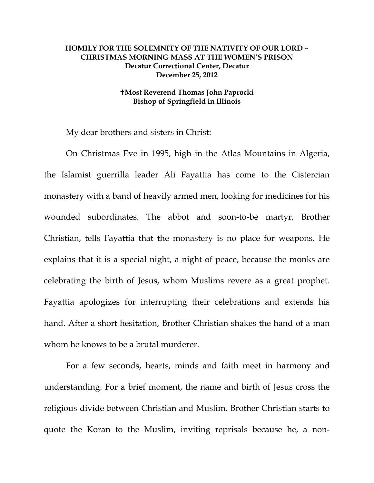## **HOMILY FOR THE SOLEMNITY OF THE NATIVITY OF OUR LORD – CHRISTMAS MORNING MASS AT THE WOMEN'S PRISON Decatur Correctional Center, Decatur December 25, 2012**

## **Most Reverend Thomas John Paprocki Bishop of Springfield in Illinois**

My dear brothers and sisters in Christ:

On Christmas Eve in 1995, high in the Atlas Mountains in Algeria, the Islamist guerrilla leader Ali Fayattia has come to the Cistercian monastery with a band of heavily armed men, looking for medicines for his wounded subordinates. The abbot and soon-to-be martyr, Brother Christian, tells Fayattia that the monastery is no place for weapons. He explains that it is a special night, a night of peace, because the monks are celebrating the birth of Jesus, whom Muslims revere as a great prophet. Fayattia apologizes for interrupting their celebrations and extends his hand. After a short hesitation, Brother Christian shakes the hand of a man whom he knows to be a brutal murderer.

For a few seconds, hearts, minds and faith meet in harmony and understanding. For a brief moment, the name and birth of Jesus cross the religious divide between Christian and Muslim. Brother Christian starts to quote the Koran to the Muslim, inviting reprisals because he, a non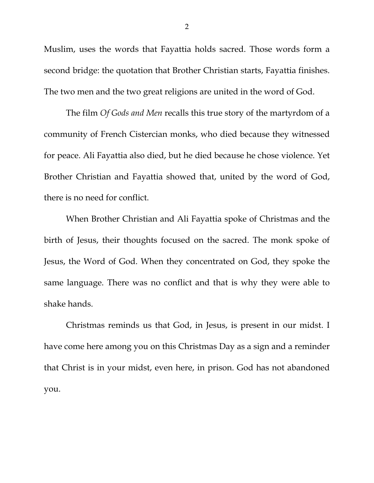Muslim, uses the words that Fayattia holds sacred. Those words form a second bridge: the quotation that Brother Christian starts, Fayattia finishes. The two men and the two great religions are united in the word of God.

The film *Of Gods and Men* recalls this true story of the martyrdom of a community of French Cistercian monks, who died because they witnessed for peace. Ali Fayattia also died, but he died because he chose violence. Yet Brother Christian and Fayattia showed that, united by the word of God, there is no need for conflict.

 When Brother Christian and Ali Fayattia spoke of Christmas and the birth of Jesus, their thoughts focused on the sacred. The monk spoke of Jesus, the Word of God. When they concentrated on God, they spoke the same language. There was no conflict and that is why they were able to shake hands.

Christmas reminds us that God, in Jesus, is present in our midst. I have come here among you on this Christmas Day as a sign and a reminder that Christ is in your midst, even here, in prison. God has not abandoned you.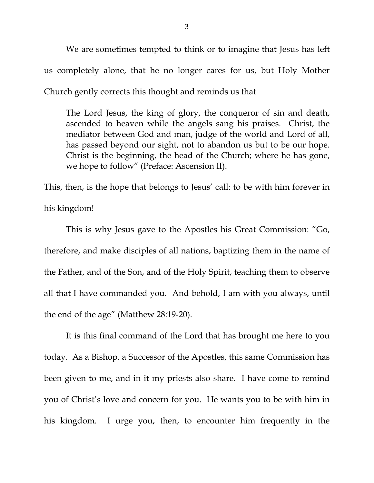We are sometimes tempted to think or to imagine that Jesus has left us completely alone, that he no longer cares for us, but Holy Mother Church gently corrects this thought and reminds us that

The Lord Jesus, the king of glory, the conqueror of sin and death, ascended to heaven while the angels sang his praises. Christ, the mediator between God and man, judge of the world and Lord of all, has passed beyond our sight, not to abandon us but to be our hope. Christ is the beginning, the head of the Church; where he has gone, we hope to follow" (Preface: Ascension II).

This, then, is the hope that belongs to Jesus' call: to be with him forever in his kingdom!

 This is why Jesus gave to the Apostles his Great Commission: "Go, therefore, and make disciples of all nations, baptizing them in the name of the Father, and of the Son, and of the Holy Spirit, teaching them to observe all that I have commanded you. And behold, I am with you always, until the end of the age" (Matthew 28:19-20).

 It is this final command of the Lord that has brought me here to you today. As a Bishop, a Successor of the Apostles, this same Commission has been given to me, and in it my priests also share. I have come to remind you of Christ's love and concern for you. He wants you to be with him in his kingdom. I urge you, then, to encounter him frequently in the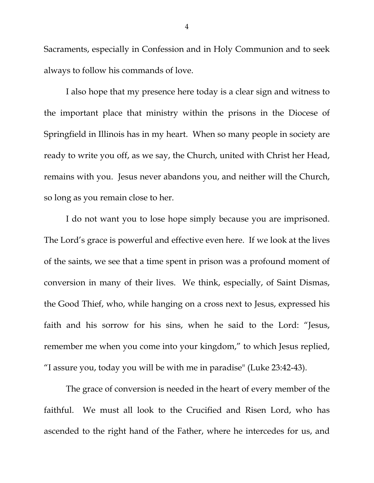Sacraments, especially in Confession and in Holy Communion and to seek always to follow his commands of love.

 I also hope that my presence here today is a clear sign and witness to the important place that ministry within the prisons in the Diocese of Springfield in Illinois has in my heart. When so many people in society are ready to write you off, as we say, the Church, united with Christ her Head, remains with you. Jesus never abandons you, and neither will the Church, so long as you remain close to her.

 I do not want you to lose hope simply because you are imprisoned. The Lord's grace is powerful and effective even here. If we look at the lives of the saints, we see that a time spent in prison was a profound moment of conversion in many of their lives. We think, especially, of Saint Dismas, the Good Thief, who, while hanging on a cross next to Jesus, expressed his faith and his sorrow for his sins, when he said to the Lord: "Jesus, remember me when you come into your kingdom," to which Jesus replied, "I assure you, today you will be with me in paradise" (Luke 23:42-43).

 The grace of conversion is needed in the heart of every member of the faithful. We must all look to the Crucified and Risen Lord, who has ascended to the right hand of the Father, where he intercedes for us, and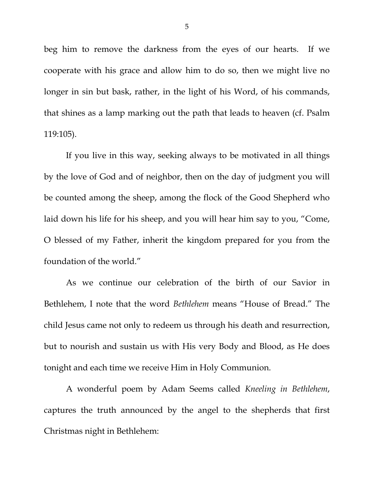beg him to remove the darkness from the eyes of our hearts. If we cooperate with his grace and allow him to do so, then we might live no longer in sin but bask, rather, in the light of his Word, of his commands, that shines as a lamp marking out the path that leads to heaven (cf. Psalm 119:105).

 If you live in this way, seeking always to be motivated in all things by the love of God and of neighbor, then on the day of judgment you will be counted among the sheep, among the flock of the Good Shepherd who laid down his life for his sheep, and you will hear him say to you, "Come, O blessed of my Father, inherit the kingdom prepared for you from the foundation of the world."

 As we continue our celebration of the birth of our Savior in Bethlehem, I note that the word *Bethlehem* means "House of Bread." The child Jesus came not only to redeem us through his death and resurrection, but to nourish and sustain us with His very Body and Blood, as He does tonight and each time we receive Him in Holy Communion.

A wonderful poem by Adam Seems called *Kneeling in Bethlehem*, captures the truth announced by the angel to the shepherds that first Christmas night in Bethlehem: